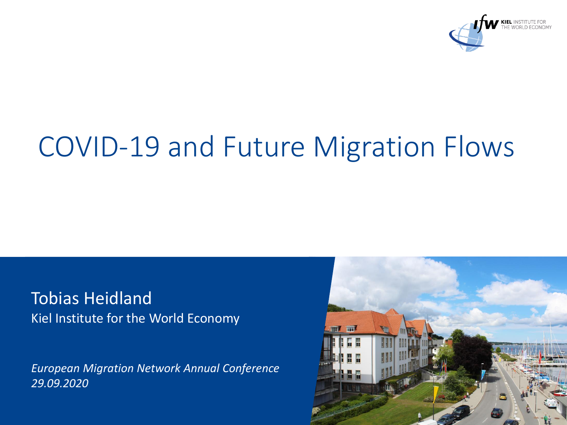

# COVID-19 and Future Migration Flows

Tobias Heidland Kiel Institute for the World Economy

*European Migration Network Annual Conference 29.09.2020*

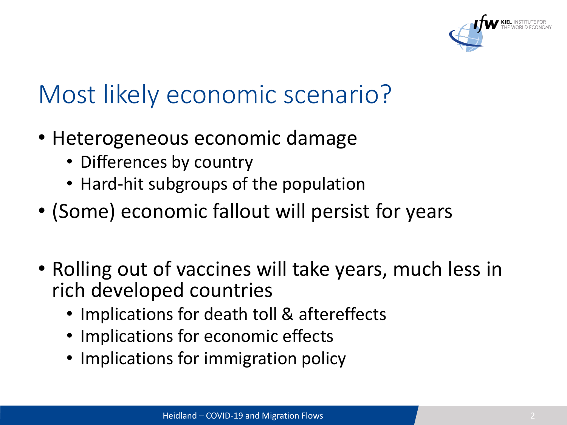

## Most likely economic scenario?

- Heterogeneous economic damage
	- Differences by country
	- Hard-hit subgroups of the population
- (Some) economic fallout will persist for years
- Rolling out of vaccines will take years, much less in rich developed countries
	- Implications for death toll & aftereffects
	- Implications for economic effects
	- Implications for immigration policy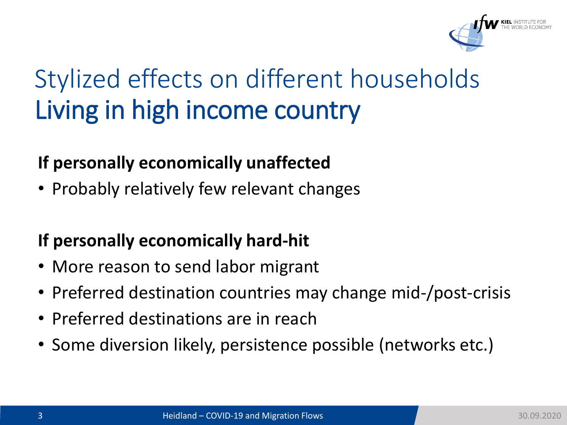

# Stylized effects on different households Living in high income country

#### **If personally economically unaffected**

• Probably relatively few relevant changes

#### **If personally economically hard-hit**

- More reason to send labor migrant
- Preferred destination countries may change mid-/post-crisis
- Preferred destinations are in reach
- Some diversion likely, persistence possible (networks etc.)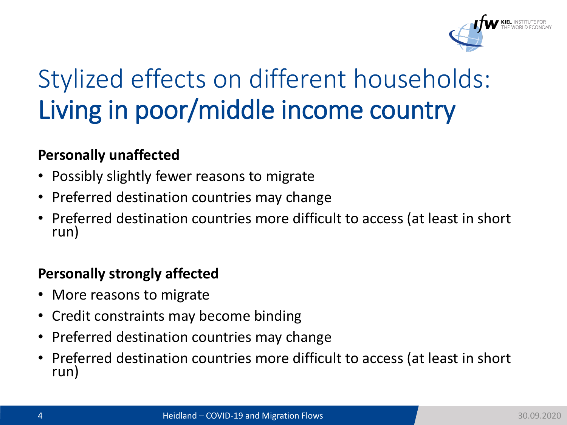

# Stylized effects on different households: Living in poor/middle income country

#### **Personally unaffected**

- Possibly slightly fewer reasons to migrate
- Preferred destination countries may change
- Preferred destination countries more difficult to access (at least in short run)

#### **Personally strongly affected**

- More reasons to migrate
- Credit constraints may become binding
- Preferred destination countries may change
- Preferred destination countries more difficult to access (at least in short run)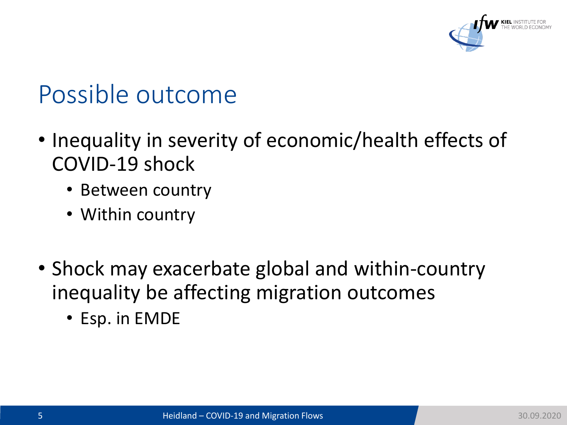

## Possible outcome

- Inequality in severity of economic/health effects of COVID-19 shock
	- Between country
	- Within country
- Shock may exacerbate global and within-country inequality be affecting migration outcomes
	- Esp. in EMDE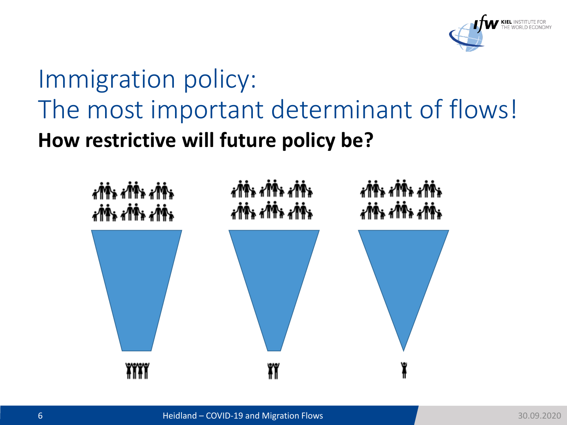

## **How restrictive will future policy be?** Immigration policy: The most important determinant of flows!

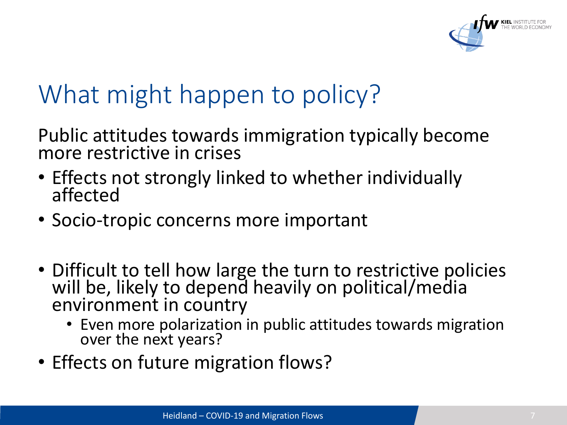

## What might happen to policy?

Public attitudes towards immigration typically become more restrictive in crises

- Effects not strongly linked to whether individually affected
- Socio-tropic concerns more important
- Difficult to tell how large the turn to restrictive policies will be, likely to depend heavily on political/media environment in country
	- Even more polarization in public attitudes towards migration over the next years?
- Effects on future migration flows?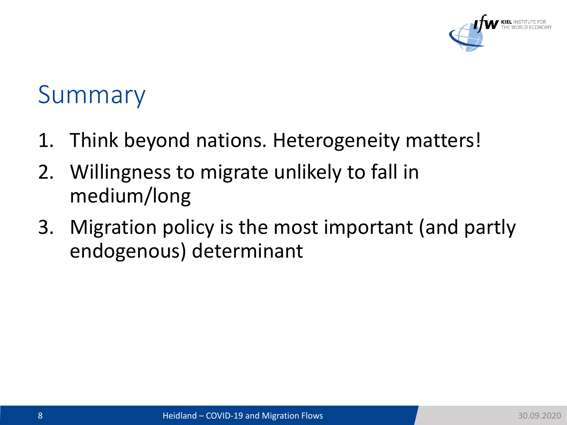

### Summary

- 1. Think beyond nations. Heterogeneity matters!
- 2. Willingness to migrate unlikely to fall in medium/long
- 3. Migration policy is the most important (and partly endogenous) determinant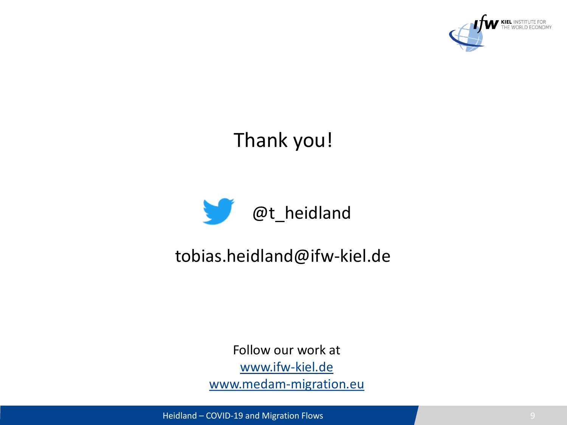

### Thank you!



#### tobias.heidland@ifw-kiel.de

Follow our work at [www.ifw-kiel.de](http://www.ifw-kiel.de/) [www.medam-migration.eu](http://www.medam-migration.eu/)

Heidland – COVID-19 and Migration Flows 9